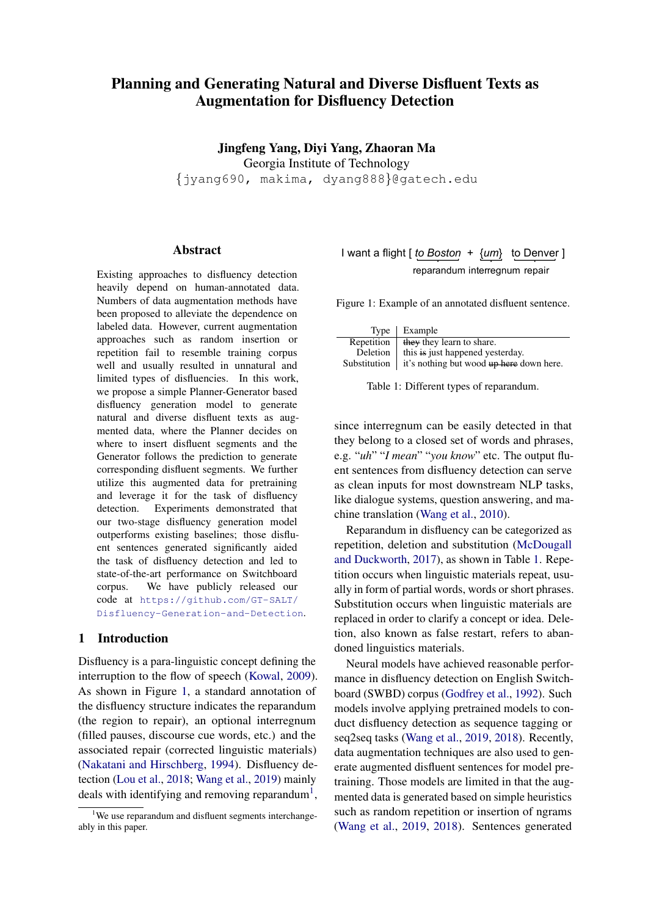# Planning and Generating Natural and Diverse Disfluent Texts as Augmentation for Disfluency Detection

Jingfeng Yang, Diyi Yang, Zhaoran Ma Georgia Institute of Technology {jyang690, makima, dyang888}@gatech.edu

### Abstract

Existing approaches to disfluency detection heavily depend on human-annotated data. Numbers of data augmentation methods have been proposed to alleviate the dependence on labeled data. However, current augmentation approaches such as random insertion or repetition fail to resemble training corpus well and usually resulted in unnatural and limited types of disfluencies. In this work, we propose a simple Planner-Generator based disfluency generation model to generate natural and diverse disfluent texts as augmented data, where the Planner decides on where to insert disfluent segments and the Generator follows the prediction to generate corresponding disfluent segments. We further utilize this augmented data for pretraining and leverage it for the task of disfluency detection. Experiments demonstrated that our two-stage disfluency generation model outperforms existing baselines; those disfluent sentences generated significantly aided the task of disfluency detection and led to state-of-the-art performance on Switchboard corpus. We have publicly released our code at [https://github.com/GT-SALT/](https://github.com/GT-SALT/Disfluency-Generation-and-Detection) [Disfluency-Generation-and-Detection](https://github.com/GT-SALT/Disfluency-Generation-and-Detection).

## 1 Introduction

Disfluency is a para-linguistic concept defining the interruption to the flow of speech [\(Kowal,](#page-9-0) [2009\)](#page-9-0). As shown in Figure [1,](#page-0-0) a standard annotation of the disfluency structure indicates the reparandum (the region to repair), an optional interregnum (filled pauses, discourse cue words, etc.) and the associated repair (corrected linguistic materials) [\(Nakatani and Hirschberg,](#page-9-1) [1994\)](#page-9-1). Disfluency detection [\(Lou et al.,](#page-9-2) [2018;](#page-9-2) [Wang et al.,](#page-9-3) [2019\)](#page-9-3) mainly deals with identifying and removing reparandum<sup>1</sup>,

## <span id="page-0-0"></span>I want a flight [ *to Boston* + {*um*} to Denver ] reparandum interregnum repair

Figure 1: Example of an annotated disfluent sentence.

<span id="page-0-1"></span>

|            | Type   Example                                                    |
|------------|-------------------------------------------------------------------|
| Repetition | they they learn to share.                                         |
| Deletion   | this is just happened yesterday.                                  |
|            | Substitution $\parallel$ it's nothing but wood up here down here. |

Table 1: Different types of reparandum.

since interregnum can be easily detected in that they belong to a closed set of words and phrases, e.g. "*uh*" "*I mean*" "*you know*" etc. The output fluent sentences from disfluency detection can serve as clean inputs for most downstream NLP tasks, like dialogue systems, question answering, and machine translation [\(Wang et al.,](#page-9-4) [2010\)](#page-9-4).

Reparandum in disfluency can be categorized as repetition, deletion and substitution [\(McDougall](#page-9-5) [and Duckworth,](#page-9-5) [2017\)](#page-9-5), as shown in Table [1.](#page-0-1) Repetition occurs when linguistic materials repeat, usually in form of partial words, words or short phrases. Substitution occurs when linguistic materials are replaced in order to clarify a concept or idea. Deletion, also known as false restart, refers to abandoned linguistics materials.

Neural models have achieved reasonable performance in disfluency detection on English Switchboard (SWBD) corpus [\(Godfrey et al.,](#page-8-0) [1992\)](#page-8-0). Such models involve applying pretrained models to conduct disfluency detection as sequence tagging or seq2seq tasks [\(Wang et al.,](#page-9-3) [2019,](#page-9-3) [2018\)](#page-9-6). Recently, data augmentation techniques are also used to generate augmented disfluent sentences for model pretraining. Those models are limited in that the augmented data is generated based on simple heuristics such as random repetition or insertion of ngrams [\(Wang et al.,](#page-9-3) [2019,](#page-9-3) [2018\)](#page-9-6). Sentences generated

<sup>&</sup>lt;sup>1</sup>We use reparandum and disfluent segments interchangeably in this paper.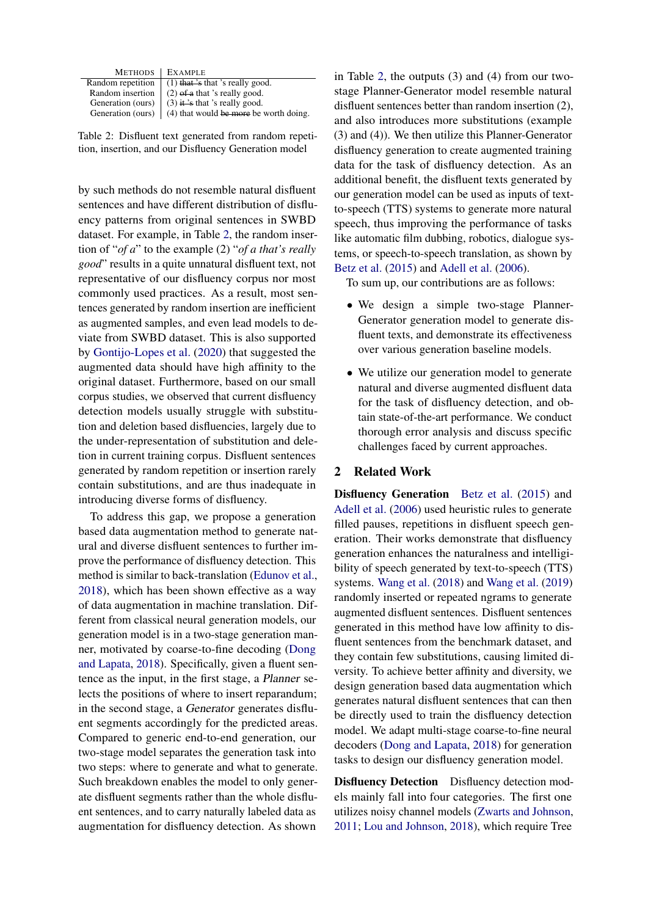<span id="page-1-0"></span>

| METHODS                   | <b>EXAMPLE</b>                           |
|---------------------------|------------------------------------------|
| Random repetition         | $(1)$ that 's that 's really good.       |
| Random insertion          | $(2)$ of a that 's really good.          |
| Generation (ours)         | $(3)$ it 's that 's really good.         |
| Generation (ours) $\vert$ | $(4)$ that would be more be worth doing. |
|                           |                                          |

Table 2: Disfluent text generated from random repetition, insertion, and our Disfluency Generation model

by such methods do not resemble natural disfluent sentences and have different distribution of disfluency patterns from original sentences in SWBD dataset. For example, in Table [2,](#page-1-0) the random insertion of "*of a*" to the example (2) "*of a that's really good*" results in a quite unnatural disfluent text, not representative of our disfluency corpus nor most commonly used practices. As a result, most sentences generated by random insertion are inefficient as augmented samples, and even lead models to deviate from SWBD dataset. This is also supported by [Gontijo-Lopes et al.](#page-8-1) [\(2020\)](#page-8-1) that suggested the augmented data should have high affinity to the original dataset. Furthermore, based on our small corpus studies, we observed that current disfluency detection models usually struggle with substitution and deletion based disfluencies, largely due to the under-representation of substitution and deletion in current training corpus. Disfluent sentences generated by random repetition or insertion rarely contain substitutions, and are thus inadequate in introducing diverse forms of disfluency.

To address this gap, we propose a generation based data augmentation method to generate natural and diverse disfluent sentences to further improve the performance of disfluency detection. This method is similar to back-translation [\(Edunov et al.,](#page-8-2) [2018\)](#page-8-2), which has been shown effective as a way of data augmentation in machine translation. Different from classical neural generation models, our generation model is in a two-stage generation manner, motivated by coarse-to-fine decoding [\(Dong](#page-8-3) [and Lapata,](#page-8-3) [2018\)](#page-8-3). Specifically, given a fluent sentence as the input, in the first stage, a Planner selects the positions of where to insert reparandum; in the second stage, a Generator generates disfluent segments accordingly for the predicted areas. Compared to generic end-to-end generation, our two-stage model separates the generation task into two steps: where to generate and what to generate. Such breakdown enables the model to only generate disfluent segments rather than the whole disfluent sentences, and to carry naturally labeled data as augmentation for disfluency detection. As shown

in Table [2,](#page-1-0) the outputs (3) and (4) from our twostage Planner-Generator model resemble natural disfluent sentences better than random insertion (2), and also introduces more substitutions (example (3) and (4)). We then utilize this Planner-Generator disfluency generation to create augmented training data for the task of disfluency detection. As an additional benefit, the disfluent texts generated by our generation model can be used as inputs of textto-speech (TTS) systems to generate more natural speech, thus improving the performance of tasks like automatic film dubbing, robotics, dialogue systems, or speech-to-speech translation, as shown by [Betz et al.](#page-8-4) [\(2015\)](#page-8-4) and [Adell et al.](#page-8-5) [\(2006\)](#page-8-5).

To sum up, our contributions are as follows:

- We design a simple two-stage Planner-Generator generation model to generate disfluent texts, and demonstrate its effectiveness over various generation baseline models.
- We utilize our generation model to generate natural and diverse augmented disfluent data for the task of disfluency detection, and obtain state-of-the-art performance. We conduct thorough error analysis and discuss specific challenges faced by current approaches.

### 2 Related Work

Disfluency Generation [Betz et al.](#page-8-4) [\(2015\)](#page-8-4) and [Adell et al.](#page-8-5) [\(2006\)](#page-8-5) used heuristic rules to generate filled pauses, repetitions in disfluent speech generation. Their works demonstrate that disfluency generation enhances the naturalness and intelligibility of speech generated by text-to-speech (TTS) systems. [Wang et al.](#page-9-6) [\(2018\)](#page-9-6) and [Wang et al.](#page-9-3) [\(2019\)](#page-9-3) randomly inserted or repeated ngrams to generate augmented disfluent sentences. Disfluent sentences generated in this method have low affinity to disfluent sentences from the benchmark dataset, and they contain few substitutions, causing limited diversity. To achieve better affinity and diversity, we design generation based data augmentation which generates natural disfluent sentences that can then be directly used to train the disfluency detection model. We adapt multi-stage coarse-to-fine neural decoders [\(Dong and Lapata,](#page-8-3) [2018\)](#page-8-3) for generation tasks to design our disfluency generation model.

Disfluency Detection Disfluency detection models mainly fall into four categories. The first one utilizes noisy channel models [\(Zwarts and Johnson,](#page-10-0) [2011;](#page-10-0) [Lou and Johnson,](#page-9-7) [2018\)](#page-9-7), which require Tree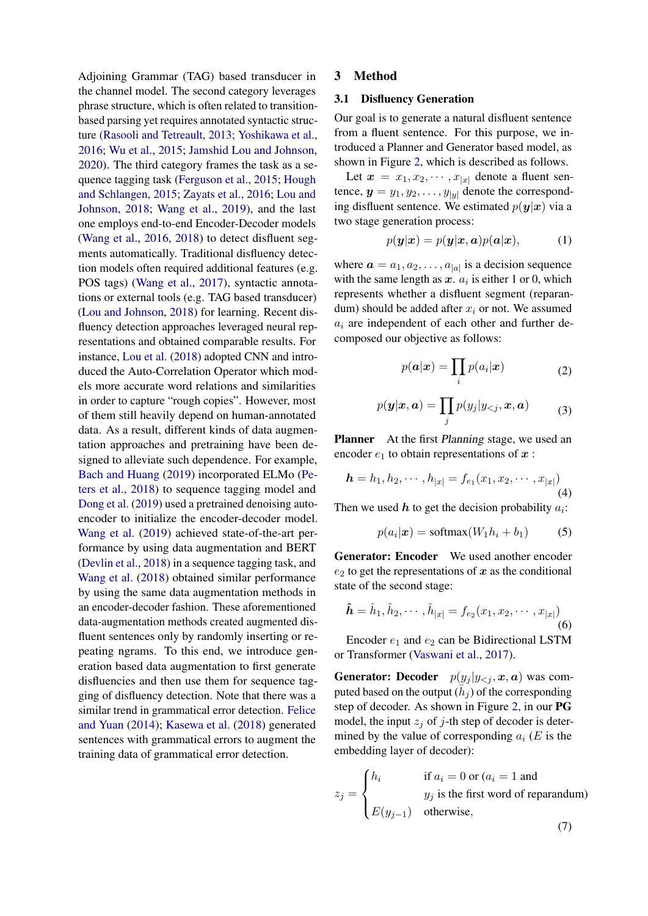Adjoining Grammar (TAG) based transducer in the channel model. The second category leverages phrase structure, which is often related to transitionbased parsing yet requires annotated syntactic structure [\(Rasooli and Tetreault,](#page-9-8) [2013;](#page-9-8) [Yoshikawa et al.,](#page-10-1) [2016;](#page-10-1) [Wu et al.,](#page-9-9) [2015;](#page-9-9) [Jamshid Lou and Johnson,](#page-9-10) [2020\)](#page-9-10). The third category frames the task as a sequence tagging task [\(Ferguson et al.,](#page-8-6) [2015;](#page-8-6) [Hough](#page-9-11) [and Schlangen,](#page-9-11) [2015;](#page-9-11) [Zayats et al.,](#page-10-2) [2016;](#page-10-2) [Lou and](#page-9-7) [Johnson,](#page-9-7) [2018;](#page-9-7) [Wang et al.,](#page-9-3) [2019\)](#page-9-3), and the last one employs end-to-end Encoder-Decoder models [\(Wang et al.,](#page-9-12) [2016,](#page-9-12) [2018\)](#page-9-6) to detect disfluent segments automatically. Traditional disfluency detection models often required additional features (e.g. POS tags) [\(Wang et al.,](#page-9-13) [2017\)](#page-9-13), syntactic annotations or external tools (e.g. TAG based transducer) [\(Lou and Johnson,](#page-9-7) [2018\)](#page-9-7) for learning. Recent disfluency detection approaches leveraged neural representations and obtained comparable results. For instance, [Lou et al.](#page-9-2) [\(2018\)](#page-9-2) adopted CNN and introduced the Auto-Correlation Operator which models more accurate word relations and similarities in order to capture "rough copies". However, most of them still heavily depend on human-annotated data. As a result, different kinds of data augmentation approaches and pretraining have been designed to alleviate such dependence. For example, [Bach and Huang](#page-8-7) [\(2019\)](#page-8-7) incorporated ELMo [\(Pe](#page-9-14)[ters et al.,](#page-9-14) [2018\)](#page-9-14) to sequence tagging model and [Dong et al.](#page-8-8) [\(2019\)](#page-8-8) used a pretrained denoising autoencoder to initialize the encoder-decoder model. [Wang et al.](#page-9-3) [\(2019\)](#page-9-3) achieved state-of-the-art performance by using data augmentation and BERT [\(Devlin et al.,](#page-8-9) [2018\)](#page-8-9) in a sequence tagging task, and [Wang et al.](#page-9-6) [\(2018\)](#page-9-6) obtained similar performance by using the same data augmentation methods in an encoder-decoder fashion. These aforementioned data-augmentation methods created augmented disfluent sentences only by randomly inserting or repeating ngrams. To this end, we introduce generation based data augmentation to first generate disfluencies and then use them for sequence tagging of disfluency detection. Note that there was a similar trend in grammatical error detection. [Felice](#page-8-10) [and Yuan](#page-8-10) [\(2014\)](#page-8-10); [Kasewa et al.](#page-9-15) [\(2018\)](#page-9-15) generated sentences with grammatical errors to augment the training data of grammatical error detection.

#### 3 Method

#### <span id="page-2-0"></span>3.1 Disfluency Generation

Our goal is to generate a natural disfluent sentence from a fluent sentence. For this purpose, we introduced a Planner and Generator based model, as shown in Figure [2,](#page-3-0) which is described as follows.

Let  $x = x_1, x_2, \dots, x_{|x|}$  denote a fluent sentence,  $y = y_1, y_2, \dots, y_{|y|}$  denote the corresponding disfluent sentence. We estimated  $p(y|x)$  via a two stage generation process:

$$
p(\mathbf{y}|\mathbf{x}) = p(\mathbf{y}|\mathbf{x}, \mathbf{a})p(\mathbf{a}|\mathbf{x}), \quad (1)
$$

where  $\mathbf{a} = a_1, a_2, \dots, a_{|a|}$  is a decision sequence with the same length as  $x$ .  $a_i$  is either 1 or 0, which represents whether a disfluent segment (reparandum) should be added after  $x_i$  or not. We assumed  $a_i$  are independent of each other and further decomposed our objective as follows:

$$
p(\mathbf{a}|\mathbf{x}) = \prod_i p(a_i|\mathbf{x}) \tag{2}
$$

$$
p(\boldsymbol{y}|\boldsymbol{x},\boldsymbol{a}) = \prod_{j} p(y_j|y_{
$$

**Planner** At the first *Planning* stage, we used an encoder  $e_1$  to obtain representations of  $x$ :

$$
\mathbf{h} = h_1, h_2, \cdots, h_{|x|} = f_{e_1}(x_1, x_2, \cdots, x_{|x|})
$$
\n(4)

Then we used  $h$  to get the decision probability  $a_i$ :

$$
p(a_i|\boldsymbol{x}) = \text{softmax}(W_1 h_i + b_1) \tag{5}
$$

Generator: Encoder We used another encoder  $e_2$  to get the representations of x as the conditional state of the second stage:

$$
\hat{\boldsymbol{h}} = \hat{h}_1, \hat{h}_2, \cdots, \hat{h}_{|x|} = f_{e_2}(x_1, x_2, \cdots, x_{|x|})
$$
\n(6)

Encoder  $e_1$  and  $e_2$  can be Bidirectional LSTM or Transformer [\(Vaswani et al.,](#page-9-16) [2017\)](#page-9-16).

**Generator: Decoder**  $p(y_j | y_{\le j}, x, a)$  was computed based on the output  $(\bar{h}_j)$  of the corresponding step of decoder. As shown in Figure [2,](#page-3-0) in our PG model, the input  $z_i$  of j-th step of decoder is determined by the value of corresponding  $a_i$  (E is the embedding layer of decoder):

$$
z_j = \begin{cases} h_i & \text{if } a_i = 0 \text{ or } (a_i = 1 \text{ and} \\ y_j \text{ is the first word of reparamdum)} \\ E(y_{j-1}) & \text{otherwise,} \end{cases}
$$

(7)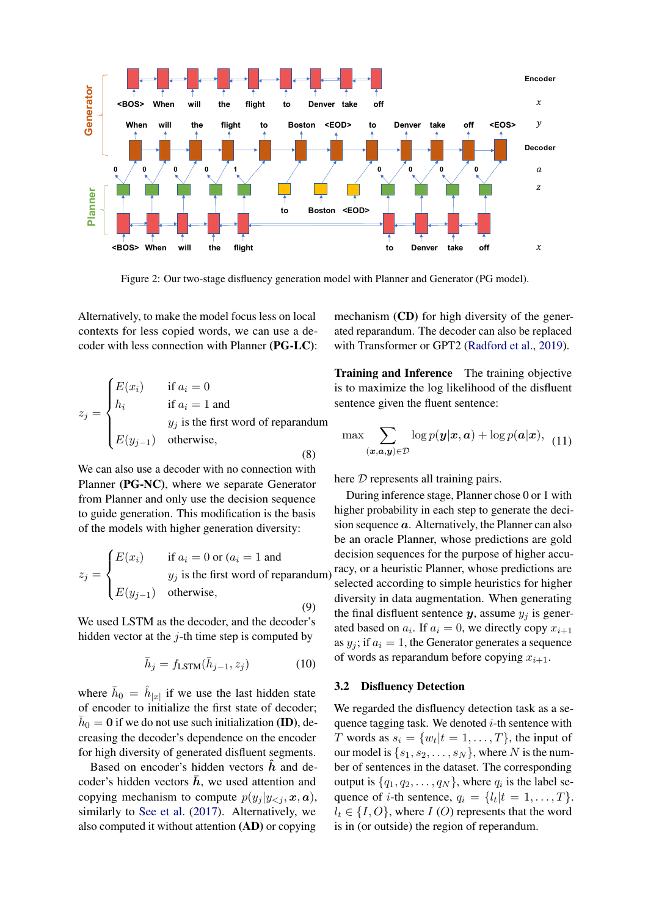<span id="page-3-0"></span>

Figure 2: Our two-stage disfluency generation model with Planner and Generator (PG model).

Alternatively, to make the model focus less on local contexts for less copied words, we can use a decoder with less connection with Planner (PG-LC):

$$
z_j = \begin{cases} E(x_i) & \text{if } a_i = 0\\ h_i & \text{if } a_i = 1 \text{ and} \\ y_j \text{ is the first word of reparamdum} \\ E(y_{j-1}) & \text{otherwise,} \end{cases}
$$
(8)

We can also use a decoder with no connection with Planner (PG-NC), where we separate Generator from Planner and only use the decision sequence to guide generation. This modification is the basis of the models with higher generation diversity:

$$
z_j = \begin{cases} E(x_i) & \text{if } a_i = 0 \text{ or } (a_i = 1 \text{ and} \\ y_j \text{ is the first word of reparamdum)} \\ E(y_{j-1}) & \text{otherwise,} \end{cases}
$$

(9)

We used LSTM as the decoder, and the decoder's hidden vector at the  $j$ -th time step is computed by

$$
\bar{h}_j = f_{\text{LSTM}}(\bar{h}_{j-1}, z_j)
$$
 (10)

where  $\bar{h}_0 = \hat{h}_{|x|}$  if we use the last hidden state of encoder to initialize the first state of decoder;  $\bar{h}_0 = 0$  if we do not use such initialization (ID), decreasing the decoder's dependence on the encoder for high diversity of generated disfluent segments.

Based on encoder's hidden vectors  $\hat{h}$  and decoder's hidden vectors  $\bar{h}$ , we used attention and copying mechanism to compute  $p(y_i | y_{\le i}, x, a)$ , similarly to [See et al.](#page-9-17) [\(2017\)](#page-9-17). Alternatively, we also computed it without attention (AD) or copying mechanism (CD) for high diversity of the generated reparandum. The decoder can also be replaced with Transformer or GPT2 [\(Radford et al.,](#page-9-18) [2019\)](#page-9-18).

Training and Inference The training objective is to maximize the log likelihood of the disfluent sentence given the fluent sentence:

$$
\max \sum_{(\boldsymbol{x}, \boldsymbol{a}, \boldsymbol{y}) \in \mathcal{D}} \log p(\boldsymbol{y}|\boldsymbol{x}, \boldsymbol{a}) + \log p(\boldsymbol{a}|\boldsymbol{x}), \tag{11}
$$

here  $D$  represents all training pairs.

During inference stage, Planner chose 0 or 1 with higher probability in each step to generate the decision sequence  $\alpha$ . Alternatively, the Planner can also be an oracle Planner, whose predictions are gold decision sequences for the purpose of higher accuracy, or a heuristic Planner, whose predictions are selected according to simple heuristics for higher diversity in data augmentation. When generating the final disfluent sentence  $y$ , assume  $y_i$  is generated based on  $a_i$ . If  $a_i = 0$ , we directly copy  $x_{i+1}$ as  $y_i$ ; if  $a_i = 1$ , the Generator generates a sequence of words as reparandum before copying  $x_{i+1}$ .

#### <span id="page-3-1"></span>3.2 Disfluency Detection

We regarded the disfluency detection task as a sequence tagging task. We denoted  $i$ -th sentence with T words as  $s_i = \{w_t | t = 1, \ldots, T\}$ , the input of our model is  $\{s_1, s_2, \ldots, s_N\}$ , where N is the number of sentences in the dataset. The corresponding output is  $\{q_1, q_2, \ldots, q_N\}$ , where  $q_i$  is the label sequence of *i*-th sentence,  $q_i = \{l_t | t = 1, ..., T\}$ .  $l_t \in \{I, O\}$ , where  $I(O)$  represents that the word is in (or outside) the region of reperandum.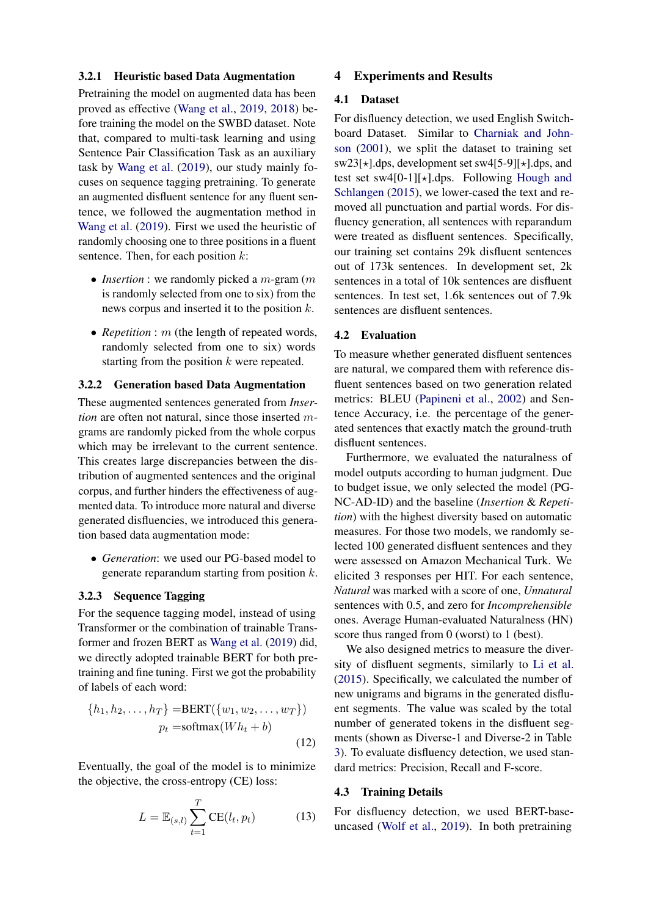#### <span id="page-4-0"></span>3.2.1 Heuristic based Data Augmentation

Pretraining the model on augmented data has been proved as effective [\(Wang et al.,](#page-9-3) [2019,](#page-9-3) [2018\)](#page-9-6) before training the model on the SWBD dataset. Note that, compared to multi-task learning and using Sentence Pair Classification Task as an auxiliary task by [Wang et al.](#page-9-3) [\(2019\)](#page-9-3), our study mainly focuses on sequence tagging pretraining. To generate an augmented disfluent sentence for any fluent sentence, we followed the augmentation method in [Wang et al.](#page-9-3) [\(2019\)](#page-9-3). First we used the heuristic of randomly choosing one to three positions in a fluent sentence. Then, for each position  $k$ :

- *Insertion* : we randomly picked a *m*-gram (*m* is randomly selected from one to six) from the news corpus and inserted it to the position k.
- *Repetition* : *m* (the length of repeated words, randomly selected from one to six) words starting from the position  $k$  were repeated.

### 3.2.2 Generation based Data Augmentation

These augmented sentences generated from *Insertion* are often not natural, since those inserted mgrams are randomly picked from the whole corpus which may be irrelevant to the current sentence. This creates large discrepancies between the distribution of augmented sentences and the original corpus, and further hinders the effectiveness of augmented data. To introduce more natural and diverse generated disfluencies, we introduced this generation based data augmentation mode:

• *Generation*: we used our PG-based model to generate reparandum starting from position  $k$ .

### 3.2.3 Sequence Tagging

For the sequence tagging model, instead of using Transformer or the combination of trainable Transformer and frozen BERT as [Wang et al.](#page-9-3) [\(2019\)](#page-9-3) did, we directly adopted trainable BERT for both pretraining and fine tuning. First we got the probability of labels of each word:

$$
\{h_1, h_2, \dots, h_T\} = \text{BERT}(\{w_1, w_2, \dots, w_T\})
$$

$$
p_t = \text{softmax}(Wh_t + b)
$$
(12)

Eventually, the goal of the model is to minimize the objective, the cross-entropy (CE) loss:

$$
L = \mathbb{E}_{(s,l)} \sum_{t=1}^{T} \text{CE}(l_t, p_t)
$$
 (13)

#### 4 Experiments and Results

#### 4.1 Dataset

For disfluency detection, we used English Switchboard Dataset. Similar to [Charniak and John](#page-8-11)[son](#page-8-11) [\(2001\)](#page-8-11), we split the dataset to training set  $sw23[\star].dps$ , development set sw4[5-9][ $\star$ ].dps, and test set sw4[0-1][ $\star$ ].dps. Following [Hough and](#page-9-11) [Schlangen](#page-9-11) [\(2015\)](#page-9-11), we lower-cased the text and removed all punctuation and partial words. For disfluency generation, all sentences with reparandum were treated as disfluent sentences. Specifically, our training set contains 29k disfluent sentences out of 173k sentences. In development set, 2k sentences in a total of 10k sentences are disfluent sentences. In test set, 1.6k sentences out of 7.9k sentences are disfluent sentences.

#### 4.2 Evaluation

To measure whether generated disfluent sentences are natural, we compared them with reference disfluent sentences based on two generation related metrics: BLEU [\(Papineni et al.,](#page-9-19) [2002\)](#page-9-19) and Sentence Accuracy, i.e. the percentage of the generated sentences that exactly match the ground-truth disfluent sentences.

Furthermore, we evaluated the naturalness of model outputs according to human judgment. Due to budget issue, we only selected the model (PG-NC-AD-ID) and the baseline (*Insertion* & *Repetition*) with the highest diversity based on automatic measures. For those two models, we randomly selected 100 generated disfluent sentences and they were assessed on Amazon Mechanical Turk. We elicited 3 responses per HIT. For each sentence, *Natural* was marked with a score of one, *Unnatural* sentences with 0.5, and zero for *Incomprehensible* ones. Average Human-evaluated Naturalness (HN) score thus ranged from 0 (worst) to 1 (best).

We also designed metrics to measure the diversity of disfluent segments, similarly to [Li et al.](#page-9-20) [\(2015\)](#page-9-20). Specifically, we calculated the number of new unigrams and bigrams in the generated disfluent segments. The value was scaled by the total number of generated tokens in the disfluent segments (shown as Diverse-1 and Diverse-2 in Table [3\)](#page-5-0). To evaluate disfluency detection, we used standard metrics: Precision, Recall and F-score.

#### 4.3 Training Details

For disfluency detection, we used BERT-baseuncased [\(Wolf et al.,](#page-9-21) [2019\)](#page-9-21). In both pretraining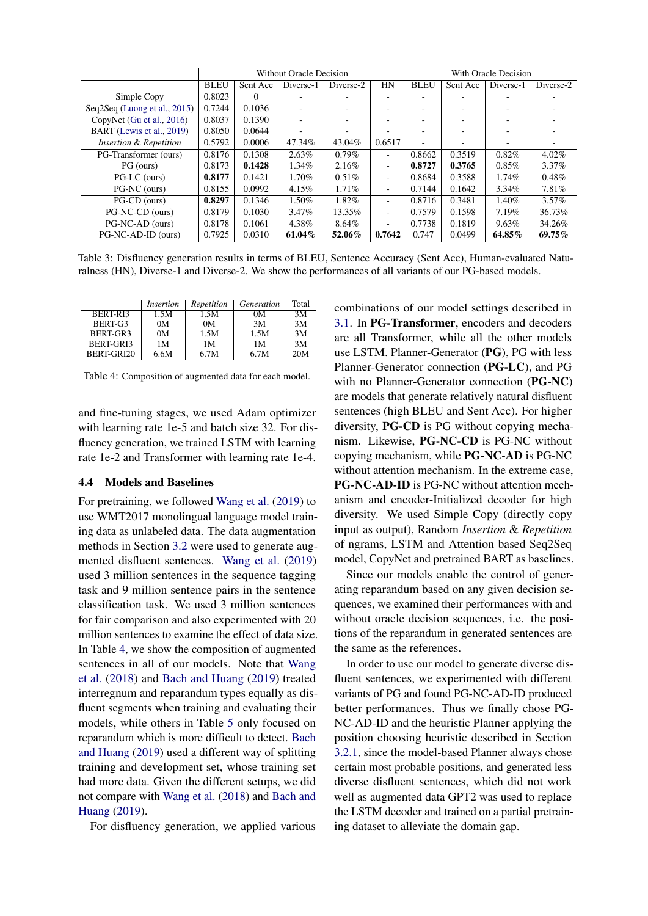<span id="page-5-0"></span>

|                              | Without Oracle Decision |          |           | With Oracle Decision |                          |                          |          |           |           |
|------------------------------|-------------------------|----------|-----------|----------------------|--------------------------|--------------------------|----------|-----------|-----------|
|                              | <b>BLEU</b>             | Sent Acc | Diverse-1 | Diverse-2            | HN                       | <b>BLEU</b>              | Sent Acc | Diverse-1 | Diverse-2 |
| Simple Copy                  | 0.8023                  | $\Omega$ |           |                      | $\overline{\phantom{0}}$ |                          |          |           |           |
| Seq2Seq (Luong et al., 2015) | 0.7244                  | 0.1036   |           |                      |                          |                          |          |           |           |
| CopyNet (Gu et al., $2016$ ) | 0.8037                  | 0.1390   |           |                      |                          |                          |          |           |           |
| BART (Lewis et al., 2019)    | 0.8050                  | 0.0644   |           |                      |                          |                          |          |           |           |
| Insertion & Repetition       | 0.5792                  | 0.0006   | 47.34%    | 43.04%               | 0.6517                   | $\overline{\phantom{a}}$ |          |           |           |
| PG-Transformer (ours)        | 0.8176                  | 0.1308   | 2.63%     | $0.79\%$             | ٠                        | 0.8662                   | 0.3519   | 0.82%     | $4.02\%$  |
| PG (ours)                    | 0.8173                  | 0.1428   | 1.34%     | 2.16%                | ٠                        | 0.8727                   | 0.3765   | $0.85\%$  | $3.37\%$  |
| PG-LC (ours)                 | 0.8177                  | 0.1421   | $1.70\%$  | $0.51\%$             | ٠                        | 0.8684                   | 0.3588   | $1.74\%$  | 0.48%     |
| PG-NC (ours)                 | 0.8155                  | 0.0992   | 4.15%     | 1.71%                | ٠                        | 0.7144                   | 0.1642   | $3.34\%$  | 7.81%     |
| PG-CD (ours)                 | 0.8297                  | 0.1346   | 1.50%     | 1.82%                | ٠                        | 0.8716                   | 0.3481   | 1.40%     | $3.57\%$  |
| PG-NC-CD (ours)              | 0.8179                  | 0.1030   | $3.47\%$  | 13.35%               | ٠                        | 0.7579                   | 0.1598   | $7.19\%$  | 36.73%    |
| PG-NC-AD (ours)              | 0.8178                  | 0.1061   | 4.38%     | 8.64%                | Ξ.                       | 0.7738                   | 0.1819   | 9.63%     | 34.26%    |
| PG-NC-AD-ID (ours)           | 0.7925                  | 0.0310   | 61.04%    | 52.06%               | 0.7642                   | 0.747                    | 0.0499   | 64.85%    | 69.75%    |

Table 3: Disfluency generation results in terms of BLEU, Sentence Accuracy (Sent Acc), Human-evaluated Naturalness (HN), Diverse-1 and Diverse-2. We show the performances of all variants of our PG-based models.

<span id="page-5-1"></span>

|            | Insertion      | Repetition | Generation | Total |
|------------|----------------|------------|------------|-------|
| BERT-RI3   | 1.5M           | 1.5M       | 0M         | 3M    |
| BERT-G3    | 0 <sub>M</sub> | 0M         | 3M         | 3M    |
| BERT-GR3   | 0 <sub>M</sub> | 1.5M       | 1.5M       | 3M    |
| BERT-GRI3  | 1 M            | 1M         | 1 M        | 3M    |
| BERT-GRI20 | 6.6M           | 6.7M       | 6.7M       | 20M   |

Table 4: Composition of augmented data for each model.

and fine-tuning stages, we used Adam optimizer with learning rate 1e-5 and batch size 32. For disfluency generation, we trained LSTM with learning rate 1e-2 and Transformer with learning rate 1e-4.

#### 4.4 Models and Baselines

For pretraining, we followed [Wang et al.](#page-9-3) [\(2019\)](#page-9-3) to use WMT2017 monolingual language model training data as unlabeled data. The data augmentation methods in Section [3.2](#page-3-1) were used to generate augmented disfluent sentences. [Wang et al.](#page-9-3) [\(2019\)](#page-9-3) used 3 million sentences in the sequence tagging task and 9 million sentence pairs in the sentence classification task. We used 3 million sentences for fair comparison and also experimented with 20 million sentences to examine the effect of data size. In Table [4,](#page-5-1) we show the composition of augmented sentences in all of our models. Note that [Wang](#page-9-6) [et al.](#page-9-6) [\(2018\)](#page-9-6) and [Bach and Huang](#page-8-7) [\(2019\)](#page-8-7) treated interregnum and reparandum types equally as disfluent segments when training and evaluating their models, while others in Table [5](#page-6-0) only focused on reparandum which is more difficult to detect. [Bach](#page-8-7) [and Huang](#page-8-7) [\(2019\)](#page-8-7) used a different way of splitting training and development set, whose training set had more data. Given the different setups, we did not compare with [Wang et al.](#page-9-6) [\(2018\)](#page-9-6) and [Bach and](#page-8-7) [Huang](#page-8-7) [\(2019\)](#page-8-7).

For disfluency generation, we applied various

combinations of our model settings described in [3.1.](#page-2-0) In PG-Transformer, encoders and decoders are all Transformer, while all the other models use LSTM. Planner-Generator (PG), PG with less Planner-Generator connection (PG-LC), and PG with no Planner-Generator connection (PG-NC) are models that generate relatively natural disfluent sentences (high BLEU and Sent Acc). For higher diversity, PG-CD is PG without copying mechanism. Likewise, PG-NC-CD is PG-NC without copying mechanism, while PG-NC-AD is PG-NC without attention mechanism. In the extreme case, PG-NC-AD-ID is PG-NC without attention mechanism and encoder-Initialized decoder for high diversity. We used Simple Copy (directly copy input as output), Random *Insertion* & *Repetition* of ngrams, LSTM and Attention based Seq2Seq model, CopyNet and pretrained BART as baselines.

Since our models enable the control of generating reparandum based on any given decision sequences, we examined their performances with and without oracle decision sequences, i.e. the positions of the reparandum in generated sentences are the same as the references.

In order to use our model to generate diverse disfluent sentences, we experimented with different variants of PG and found PG-NC-AD-ID produced better performances. Thus we finally chose PG-NC-AD-ID and the heuristic Planner applying the position choosing heuristic described in Section [3.2.1,](#page-4-0) since the model-based Planner always chose certain most probable positions, and generated less diverse disfluent sentences, which did not work well as augmented data GPT2 was used to replace the LSTM decoder and trained on a partial pretraining dataset to alleviate the domain gap.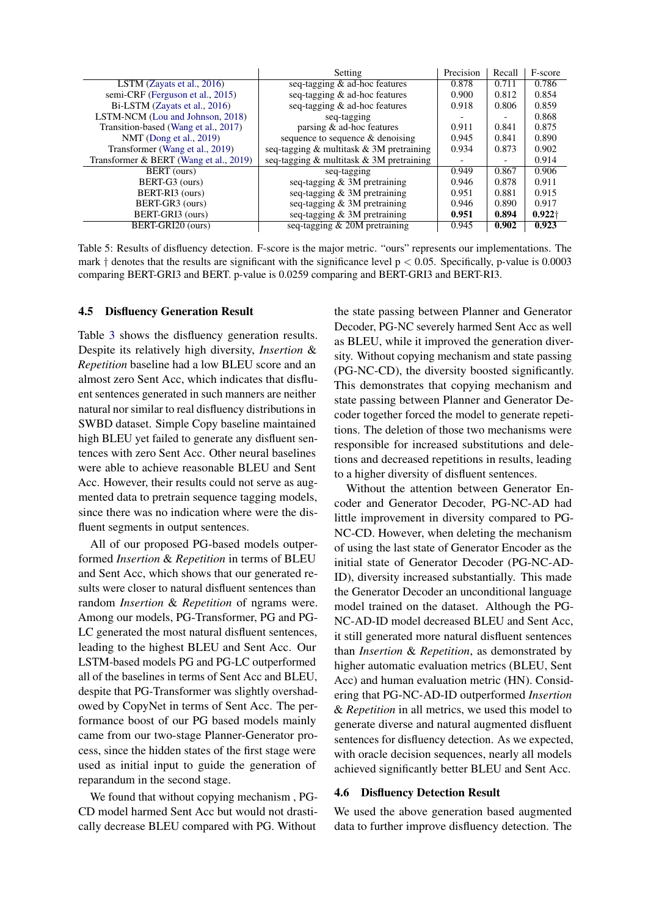<span id="page-6-0"></span>

|                                        | Setting                                  | Precision | Recall | F-score   |
|----------------------------------------|------------------------------------------|-----------|--------|-----------|
| LSTM (Zayats et al., $2016$ )          | seq-tagging & ad-hoc features            | 0.878     | 0.711  | 0.786     |
| semi-CRF (Ferguson et al., 2015)       | seq-tagging & ad-hoc features            | 0.900     | 0.812  | 0.854     |
| Bi-LSTM (Zayats et al., 2016)          | seq-tagging & ad-hoc features            | 0.918     | 0.806  | 0.859     |
| LSTM-NCM (Lou and Johnson, 2018)       | seq-tagging                              |           |        | 0.868     |
| Transition-based (Wang et al., 2017)   | parsing & ad-hoc features                | 0.911     | 0.841  | 0.875     |
| NMT (Dong et al., 2019)                | sequence to sequence & denoising         | 0.945     | 0.841  | 0.890     |
| Transformer (Wang et al., 2019)        | seq-tagging & multitask & 3M pretraining | 0.934     | 0.873  | 0.902     |
| Transformer & BERT (Wang et al., 2019) | seq-tagging & multitask & 3M pretraining |           | -      | 0.914     |
| BERT (ours)                            | seq-tagging                              | 0.949     | 0.867  | 0.906     |
| BERT-G3 (ours)                         | seq-tagging $& 3M$ pretraining           | 0.946     | 0.878  | 0.911     |
| BERT-RI3 (ours)                        | seq-tagging $& 3M$ pretraining           | 0.951     | 0.881  | 0.915     |
| BERT-GR3 (ours)                        | seq-tagging & 3M pretraining             | 0.946     | 0.890  | 0.917     |
| BERT-GRI3 (ours)                       | seq-tagging $& 3M$ pretraining           | 0.951     | 0.894  | $0.922 +$ |
| BERT-GRI20 (ours)                      | seq-tagging $& 20M$ pretraining          | 0.945     | 0.902  | 0.923     |

Table 5: Results of disfluency detection. F-score is the major metric. "ours" represents our implementations. The mark  $\dagger$  denotes that the results are significant with the significance level  $p < 0.05$ . Specifically, p-value is 0.0003 comparing BERT-GRI3 and BERT. p-value is 0.0259 comparing and BERT-GRI3 and BERT-RI3.

#### 4.5 Disfluency Generation Result

Table [3](#page-5-0) shows the disfluency generation results. Despite its relatively high diversity, *Insertion* & *Repetition* baseline had a low BLEU score and an almost zero Sent Acc, which indicates that disfluent sentences generated in such manners are neither natural nor similar to real disfluency distributions in SWBD dataset. Simple Copy baseline maintained high BLEU yet failed to generate any disfluent sentences with zero Sent Acc. Other neural baselines were able to achieve reasonable BLEU and Sent Acc. However, their results could not serve as augmented data to pretrain sequence tagging models, since there was no indication where were the disfluent segments in output sentences.

All of our proposed PG-based models outperformed *Insertion* & *Repetition* in terms of BLEU and Sent Acc, which shows that our generated results were closer to natural disfluent sentences than random *Insertion* & *Repetition* of ngrams were. Among our models, PG-Transformer, PG and PG-LC generated the most natural disfluent sentences, leading to the highest BLEU and Sent Acc. Our LSTM-based models PG and PG-LC outperformed all of the baselines in terms of Sent Acc and BLEU, despite that PG-Transformer was slightly overshadowed by CopyNet in terms of Sent Acc. The performance boost of our PG based models mainly came from our two-stage Planner-Generator process, since the hidden states of the first stage were used as initial input to guide the generation of reparandum in the second stage.

We found that without copying mechanism , PG-CD model harmed Sent Acc but would not drastically decrease BLEU compared with PG. Without

the state passing between Planner and Generator Decoder, PG-NC severely harmed Sent Acc as well as BLEU, while it improved the generation diversity. Without copying mechanism and state passing (PG-NC-CD), the diversity boosted significantly. This demonstrates that copying mechanism and state passing between Planner and Generator Decoder together forced the model to generate repetitions. The deletion of those two mechanisms were responsible for increased substitutions and deletions and decreased repetitions in results, leading to a higher diversity of disfluent sentences.

Without the attention between Generator Encoder and Generator Decoder, PG-NC-AD had little improvement in diversity compared to PG-NC-CD. However, when deleting the mechanism of using the last state of Generator Encoder as the initial state of Generator Decoder (PG-NC-AD-ID), diversity increased substantially. This made the Generator Decoder an unconditional language model trained on the dataset. Although the PG-NC-AD-ID model decreased BLEU and Sent Acc, it still generated more natural disfluent sentences than *Insertion* & *Repetition*, as demonstrated by higher automatic evaluation metrics (BLEU, Sent Acc) and human evaluation metric (HN). Considering that PG-NC-AD-ID outperformed *Insertion* & *Repetition* in all metrics, we used this model to generate diverse and natural augmented disfluent sentences for disfluency detection. As we expected, with oracle decision sequences, nearly all models achieved significantly better BLEU and Sent Acc.

#### 4.6 Disfluency Detection Result

We used the above generation based augmented data to further improve disfluency detection. The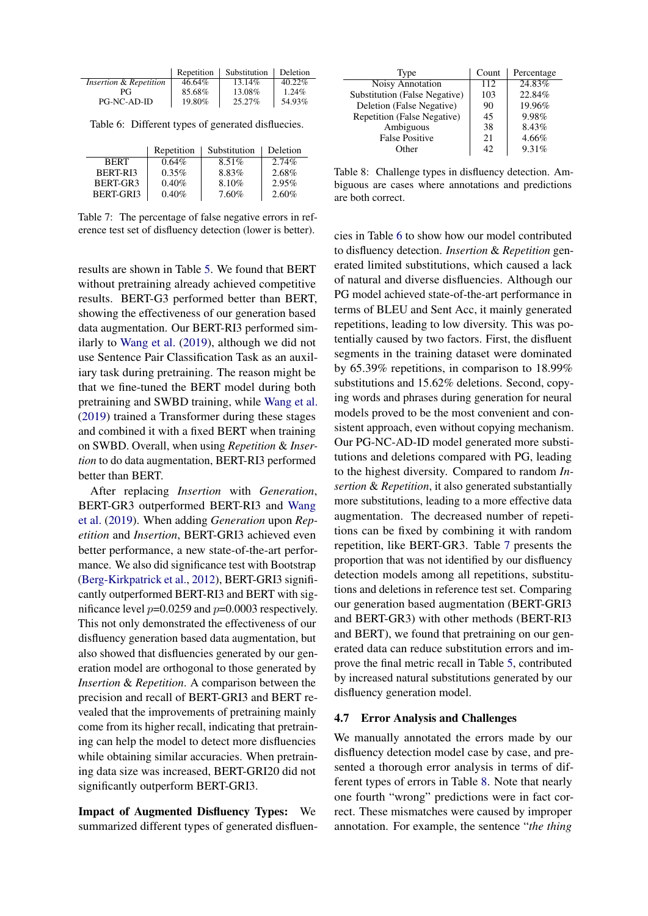<span id="page-7-0"></span>

|                        | Repetition | Substitution | <b>Deletion</b> |
|------------------------|------------|--------------|-----------------|
| Insertion & Repetition | 46.64%     | 13.14%       | $40.22\%$       |
| РG                     | 85.68%     | 13.08%       | 1.24%           |
| PG-NC-AD-ID            | 19.80%     | 25.27%       | 54.93%          |

Table 6: Different types of generated disfluecies.

<span id="page-7-1"></span>

|                      | Repetition | Substitution | Deletion |
|----------------------|------------|--------------|----------|
| <b>BERT</b>          | $0.64\%$   | $8.51\%$     | $2.74\%$ |
| BERT-RI3             | $0.35\%$   | 8.83%        | 2.68%    |
| BERT-GR <sub>3</sub> | 0.40%      | 8.10%        | 2.95%    |
| BERT-GRI3            | 0.40%      | 7.60%        | 2.60%    |

Table 7: The percentage of false negative errors in reference test set of disfluency detection (lower is better).

results are shown in Table [5.](#page-6-0) We found that BERT without pretraining already achieved competitive results. BERT-G3 performed better than BERT, showing the effectiveness of our generation based data augmentation. Our BERT-RI3 performed similarly to [Wang et al.](#page-9-3) [\(2019\)](#page-9-3), although we did not use Sentence Pair Classification Task as an auxiliary task during pretraining. The reason might be that we fine-tuned the BERT model during both pretraining and SWBD training, while [Wang et al.](#page-9-3) [\(2019\)](#page-9-3) trained a Transformer during these stages and combined it with a fixed BERT when training on SWBD. Overall, when using *Repetition* & *Insertion* to do data augmentation, BERT-RI3 performed better than BERT.

After replacing *Insertion* with *Generation*, BERT-GR3 outperformed BERT-RI3 and [Wang](#page-9-3) [et al.](#page-9-3) [\(2019\)](#page-9-3). When adding *Generation* upon *Repetition* and *Insertion*, BERT-GRI3 achieved even better performance, a new state-of-the-art performance. We also did significance test with Bootstrap [\(Berg-Kirkpatrick et al.,](#page-8-13) [2012\)](#page-8-13), BERT-GRI3 significantly outperformed BERT-RI3 and BERT with significance level  $p=0.0259$  and  $p=0.0003$  respectively. This not only demonstrated the effectiveness of our disfluency generation based data augmentation, but also showed that disfluencies generated by our generation model are orthogonal to those generated by *Insertion* & *Repetition*. A comparison between the precision and recall of BERT-GRI3 and BERT revealed that the improvements of pretraining mainly come from its higher recall, indicating that pretraining can help the model to detect more disfluencies while obtaining similar accuracies. When pretraining data size was increased, BERT-GRI20 did not significantly outperform BERT-GRI3.

Impact of Augmented Disfluency Types: We summarized different types of generated disfluen-

<span id="page-7-2"></span>

| Type                          | Count | Percentage |
|-------------------------------|-------|------------|
| Noisy Annotation              | 112   | 24.83%     |
| Substitution (False Negative) | 103   | 22.84%     |
| Deletion (False Negative)     | 90    | 19.96%     |
| Repetition (False Negative)   | 45    | 9.98%      |
| Ambiguous                     | 38    | 8.43%      |
| <b>False Positive</b>         | 21    | 4.66%      |
| Other                         | 42    | 9.31%      |

Table 8: Challenge types in disfluency detection. Ambiguous are cases where annotations and predictions are both correct.

cies in Table [6](#page-7-0) to show how our model contributed to disfluency detection. *Insertion* & *Repetition* generated limited substitutions, which caused a lack of natural and diverse disfluencies. Although our PG model achieved state-of-the-art performance in terms of BLEU and Sent Acc, it mainly generated repetitions, leading to low diversity. This was potentially caused by two factors. First, the disfluent segments in the training dataset were dominated by 65.39% repetitions, in comparison to 18.99% substitutions and 15.62% deletions. Second, copying words and phrases during generation for neural models proved to be the most convenient and consistent approach, even without copying mechanism. Our PG-NC-AD-ID model generated more substitutions and deletions compared with PG, leading to the highest diversity. Compared to random *Insertion* & *Repetition*, it also generated substantially more substitutions, leading to a more effective data augmentation. The decreased number of repetitions can be fixed by combining it with random repetition, like BERT-GR3. Table [7](#page-7-1) presents the proportion that was not identified by our disfluency detection models among all repetitions, substitutions and deletions in reference test set. Comparing our generation based augmentation (BERT-GRI3 and BERT-GR3) with other methods (BERT-RI3 and BERT), we found that pretraining on our generated data can reduce substitution errors and improve the final metric recall in Table [5,](#page-6-0) contributed by increased natural substitutions generated by our disfluency generation model.

#### 4.7 Error Analysis and Challenges

We manually annotated the errors made by our disfluency detection model case by case, and presented a thorough error analysis in terms of different types of errors in Table [8.](#page-7-2) Note that nearly one fourth "wrong" predictions were in fact correct. These mismatches were caused by improper annotation. For example, the sentence "*the thing*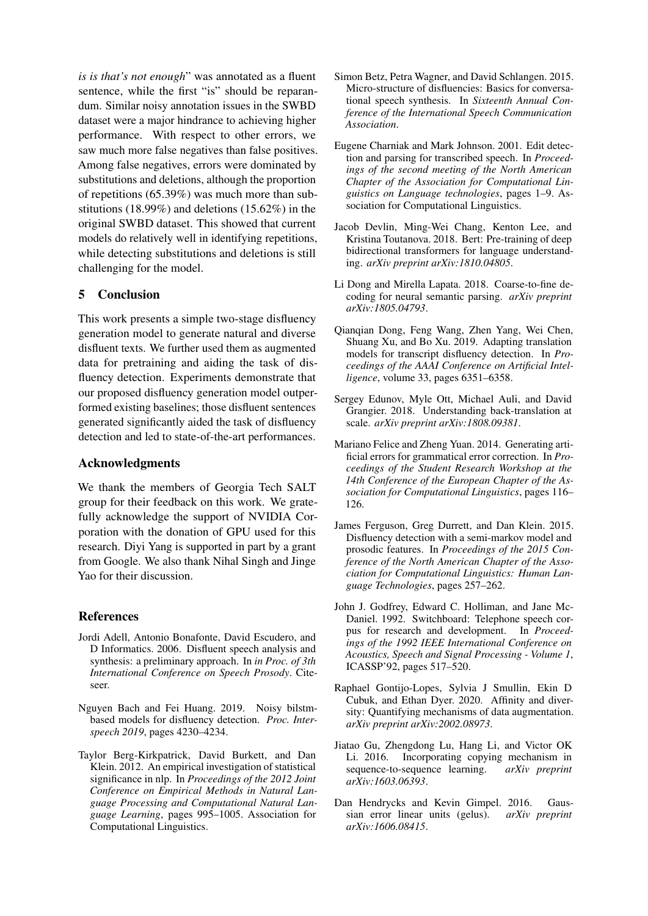*is is that's not enough*" was annotated as a fluent sentence, while the first "is" should be reparandum. Similar noisy annotation issues in the SWBD dataset were a major hindrance to achieving higher performance. With respect to other errors, we saw much more false negatives than false positives. Among false negatives, errors were dominated by substitutions and deletions, although the proportion of repetitions (65.39%) was much more than substitutions (18.99%) and deletions (15.62%) in the original SWBD dataset. This showed that current models do relatively well in identifying repetitions, while detecting substitutions and deletions is still challenging for the model.

## 5 Conclusion

This work presents a simple two-stage disfluency generation model to generate natural and diverse disfluent texts. We further used them as augmented data for pretraining and aiding the task of disfluency detection. Experiments demonstrate that our proposed disfluency generation model outperformed existing baselines; those disfluent sentences generated significantly aided the task of disfluency detection and led to state-of-the-art performances.

### Acknowledgments

We thank the members of Georgia Tech SALT group for their feedback on this work. We gratefully acknowledge the support of NVIDIA Corporation with the donation of GPU used for this research. Diyi Yang is supported in part by a grant from Google. We also thank Nihal Singh and Jinge Yao for their discussion.

## References

- <span id="page-8-5"></span>Jordi Adell, Antonio Bonafonte, David Escudero, and D Informatics. 2006. Disfluent speech analysis and synthesis: a preliminary approach. In *in Proc. of 3th International Conference on Speech Prosody*. Citeseer.
- <span id="page-8-7"></span>Nguyen Bach and Fei Huang. 2019. Noisy bilstmbased models for disfluency detection. *Proc. Interspeech 2019*, pages 4230–4234.
- <span id="page-8-13"></span>Taylor Berg-Kirkpatrick, David Burkett, and Dan Klein. 2012. An empirical investigation of statistical significance in nlp. In *Proceedings of the 2012 Joint Conference on Empirical Methods in Natural Language Processing and Computational Natural Language Learning*, pages 995–1005. Association for Computational Linguistics.
- <span id="page-8-4"></span>Simon Betz, Petra Wagner, and David Schlangen. 2015. Micro-structure of disfluencies: Basics for conversational speech synthesis. In *Sixteenth Annual Conference of the International Speech Communication Association*.
- <span id="page-8-11"></span>Eugene Charniak and Mark Johnson. 2001. Edit detection and parsing for transcribed speech. In *Proceedings of the second meeting of the North American Chapter of the Association for Computational Linguistics on Language technologies*, pages 1–9. Association for Computational Linguistics.
- <span id="page-8-9"></span>Jacob Devlin, Ming-Wei Chang, Kenton Lee, and Kristina Toutanova. 2018. Bert: Pre-training of deep bidirectional transformers for language understanding. *arXiv preprint arXiv:1810.04805*.
- <span id="page-8-3"></span>Li Dong and Mirella Lapata. 2018. Coarse-to-fine decoding for neural semantic parsing. *arXiv preprint arXiv:1805.04793*.
- <span id="page-8-8"></span>Qianqian Dong, Feng Wang, Zhen Yang, Wei Chen, Shuang Xu, and Bo Xu. 2019. Adapting translation models for transcript disfluency detection. In *Proceedings of the AAAI Conference on Artificial Intelligence*, volume 33, pages 6351–6358.
- <span id="page-8-2"></span>Sergey Edunov, Myle Ott, Michael Auli, and David Grangier. 2018. Understanding back-translation at scale. *arXiv preprint arXiv:1808.09381*.
- <span id="page-8-10"></span>Mariano Felice and Zheng Yuan. 2014. Generating artificial errors for grammatical error correction. In *Proceedings of the Student Research Workshop at the 14th Conference of the European Chapter of the Association for Computational Linguistics*, pages 116– 126.
- <span id="page-8-6"></span>James Ferguson, Greg Durrett, and Dan Klein. 2015. Disfluency detection with a semi-markov model and prosodic features. In *Proceedings of the 2015 Conference of the North American Chapter of the Association for Computational Linguistics: Human Language Technologies*, pages 257–262.
- <span id="page-8-0"></span>John J. Godfrey, Edward C. Holliman, and Jane Mc-Daniel. 1992. Switchboard: Telephone speech corpus for research and development. In *Proceedings of the 1992 IEEE International Conference on Acoustics, Speech and Signal Processing - Volume 1*, ICASSP'92, pages 517–520.
- <span id="page-8-1"></span>Raphael Gontijo-Lopes, Sylvia J Smullin, Ekin D Cubuk, and Ethan Dyer. 2020. Affinity and diversity: Quantifying mechanisms of data augmentation. *arXiv preprint arXiv:2002.08973*.
- <span id="page-8-12"></span>Jiatao Gu, Zhengdong Lu, Hang Li, and Victor OK Li. 2016. Incorporating copying mechanism in sequence-to-sequence learning.  $arXiv$  preprint sequence-to-sequence learning. *arXiv:1603.06393*.
- <span id="page-8-14"></span>Dan Hendrycks and Kevin Gimpel. 2016. Gaussian error linear units (gelus). *arXiv preprint arXiv:1606.08415*.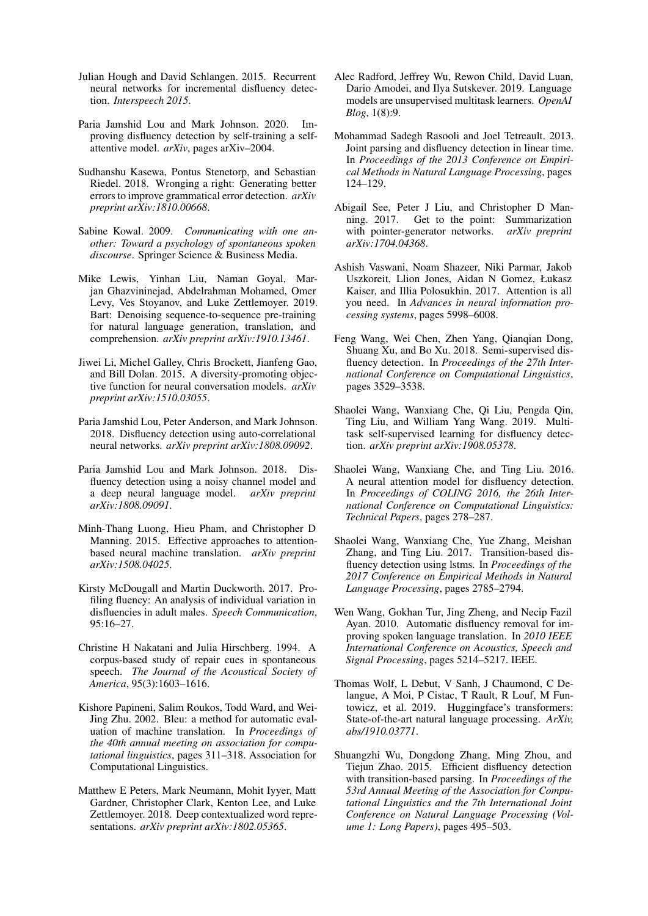- <span id="page-9-11"></span>Julian Hough and David Schlangen. 2015. Recurrent neural networks for incremental disfluency detection. *Interspeech 2015*.
- <span id="page-9-10"></span>Paria Jamshid Lou and Mark Johnson. 2020. Improving disfluency detection by self-training a selfattentive model. *arXiv*, pages arXiv–2004.
- <span id="page-9-15"></span>Sudhanshu Kasewa, Pontus Stenetorp, and Sebastian Riedel. 2018. Wronging a right: Generating better errors to improve grammatical error detection. *arXiv preprint arXiv:1810.00668*.
- <span id="page-9-0"></span>Sabine Kowal. 2009. *Communicating with one another: Toward a psychology of spontaneous spoken discourse*. Springer Science & Business Media.
- <span id="page-9-23"></span>Mike Lewis, Yinhan Liu, Naman Goyal, Marjan Ghazvininejad, Abdelrahman Mohamed, Omer Levy, Ves Stoyanov, and Luke Zettlemoyer. 2019. Bart: Denoising sequence-to-sequence pre-training for natural language generation, translation, and comprehension. *arXiv preprint arXiv:1910.13461*.
- <span id="page-9-20"></span>Jiwei Li, Michel Galley, Chris Brockett, Jianfeng Gao, and Bill Dolan. 2015. A diversity-promoting objective function for neural conversation models. *arXiv preprint arXiv:1510.03055*.
- <span id="page-9-2"></span>Paria Jamshid Lou, Peter Anderson, and Mark Johnson. 2018. Disfluency detection using auto-correlational neural networks. *arXiv preprint arXiv:1808.09092*.
- <span id="page-9-7"></span>Paria Jamshid Lou and Mark Johnson. 2018. Disfluency detection using a noisy channel model and a deep neural language model. *arXiv preprint arXiv:1808.09091*.
- <span id="page-9-22"></span>Minh-Thang Luong, Hieu Pham, and Christopher D Manning. 2015. Effective approaches to attentionbased neural machine translation. *arXiv preprint arXiv:1508.04025*.
- <span id="page-9-5"></span>Kirsty McDougall and Martin Duckworth. 2017. Profiling fluency: An analysis of individual variation in disfluencies in adult males. *Speech Communication*, 95:16–27.
- <span id="page-9-1"></span>Christine H Nakatani and Julia Hirschberg. 1994. A corpus-based study of repair cues in spontaneous speech. *The Journal of the Acoustical Society of America*, 95(3):1603–1616.
- <span id="page-9-19"></span>Kishore Papineni, Salim Roukos, Todd Ward, and Wei-Jing Zhu. 2002. Bleu: a method for automatic evaluation of machine translation. In *Proceedings of the 40th annual meeting on association for computational linguistics*, pages 311–318. Association for Computational Linguistics.
- <span id="page-9-14"></span>Matthew E Peters, Mark Neumann, Mohit Iyyer, Matt Gardner, Christopher Clark, Kenton Lee, and Luke Zettlemoyer. 2018. Deep contextualized word representations. *arXiv preprint arXiv:1802.05365*.
- <span id="page-9-18"></span>Alec Radford, Jeffrey Wu, Rewon Child, David Luan, Dario Amodei, and Ilya Sutskever. 2019. Language models are unsupervised multitask learners. *OpenAI Blog*, 1(8):9.
- <span id="page-9-8"></span>Mohammad Sadegh Rasooli and Joel Tetreault. 2013. Joint parsing and disfluency detection in linear time. In *Proceedings of the 2013 Conference on Empirical Methods in Natural Language Processing*, pages 124–129.
- <span id="page-9-17"></span>Abigail See, Peter J Liu, and Christopher D Manning. 2017. Get to the point: Summarization with pointer-generator networks. *arXiv preprint arXiv:1704.04368*.
- <span id="page-9-16"></span>Ashish Vaswani, Noam Shazeer, Niki Parmar, Jakob Uszkoreit, Llion Jones, Aidan N Gomez, Łukasz Kaiser, and Illia Polosukhin. 2017. Attention is all you need. In *Advances in neural information processing systems*, pages 5998–6008.
- <span id="page-9-6"></span>Feng Wang, Wei Chen, Zhen Yang, Qianqian Dong, Shuang Xu, and Bo Xu. 2018. Semi-supervised disfluency detection. In *Proceedings of the 27th International Conference on Computational Linguistics*, pages 3529–3538.
- <span id="page-9-3"></span>Shaolei Wang, Wanxiang Che, Qi Liu, Pengda Qin, Ting Liu, and William Yang Wang. 2019. Multitask self-supervised learning for disfluency detection. *arXiv preprint arXiv:1908.05378*.
- <span id="page-9-12"></span>Shaolei Wang, Wanxiang Che, and Ting Liu. 2016. A neural attention model for disfluency detection. In *Proceedings of COLING 2016, the 26th International Conference on Computational Linguistics: Technical Papers*, pages 278–287.
- <span id="page-9-13"></span>Shaolei Wang, Wanxiang Che, Yue Zhang, Meishan Zhang, and Ting Liu. 2017. Transition-based disfluency detection using lstms. In *Proceedings of the 2017 Conference on Empirical Methods in Natural Language Processing*, pages 2785–2794.
- <span id="page-9-4"></span>Wen Wang, Gokhan Tur, Jing Zheng, and Necip Fazil Ayan. 2010. Automatic disfluency removal for improving spoken language translation. In *2010 IEEE International Conference on Acoustics, Speech and Signal Processing*, pages 5214–5217. IEEE.
- <span id="page-9-21"></span>Thomas Wolf, L Debut, V Sanh, J Chaumond, C Delangue, A Moi, P Cistac, T Rault, R Louf, M Funtowicz, et al. 2019. Huggingface's transformers: State-of-the-art natural language processing. *ArXiv, abs/1910.03771*.
- <span id="page-9-9"></span>Shuangzhi Wu, Dongdong Zhang, Ming Zhou, and Tiejun Zhao. 2015. Efficient disfluency detection with transition-based parsing. In *Proceedings of the 53rd Annual Meeting of the Association for Computational Linguistics and the 7th International Joint Conference on Natural Language Processing (Volume 1: Long Papers)*, pages 495–503.